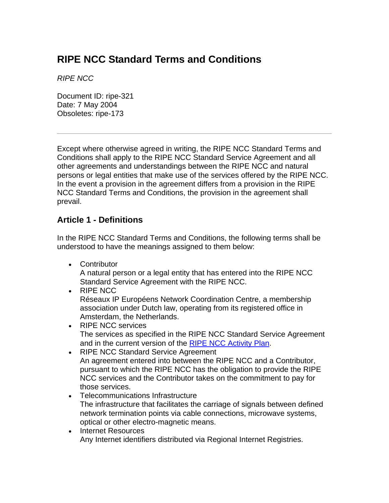# **RIPE NCC Standard Terms and Conditions**

*RIPE NCC* 

Document ID: ripe-321 Date: 7 May 2004 Obsoletes: ripe-173

Except where otherwise agreed in writing, the RIPE NCC Standard Terms and Conditions shall apply to the RIPE NCC Standard Service Agreement and all other agreements and understandings between the RIPE NCC and natural persons or legal entities that make use of the services offered by the RIPE NCC. In the event a provision in the agreement differs from a provision in the RIPE NCC Standard Terms and Conditions, the provision in the agreement shall prevail.

# **Article 1 - Definitions**

In the RIPE NCC Standard Terms and Conditions, the following terms shall be understood to have the meanings assigned to them below:

• Contributor

A natural person or a legal entity that has entered into the RIPE NCC Standard Service Agreement with the RIPE NCC.

- RIPE NCC Réseaux IP Européens Network Coordination Centre, a membership association under Dutch law, operating from its registered office in Amsterdam, the Netherlands.
- RIPE NCC services The services as specified in the RIPE NCC Standard Service Agreement and in the current version of the [RIPE NCC Activity Plan](http://www.ripe.net/ripe/docs/ap.html).
- RIPE NCC Standard Service Agreement An agreement entered into between the RIPE NCC and a Contributor, pursuant to which the RIPE NCC has the obligation to provide the RIPE NCC services and the Contributor takes on the commitment to pay for those services.
- Telecommunications Infrastructure The infrastructure that facilitates the carriage of signals between defined network termination points via cable connections, microwave systems, optical or other electro-magnetic means.
- Internet Resources Any Internet identifiers distributed via Regional Internet Registries.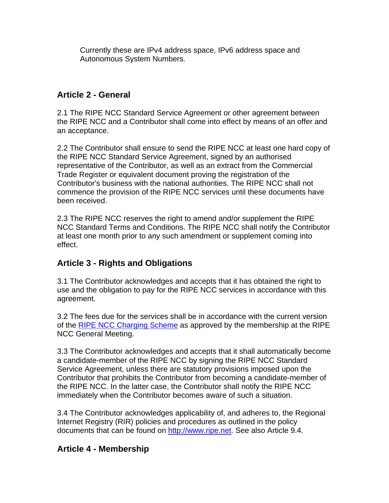Currently these are IPv4 address space, IPv6 address space and Autonomous System Numbers.

#### **Article 2 - General**

2.1 The RIPE NCC Standard Service Agreement or other agreement between the RIPE NCC and a Contributor shall come into effect by means of an offer and an acceptance.

2.2 The Contributor shall ensure to send the RIPE NCC at least one hard copy of the RIPE NCC Standard Service Agreement, signed by an authorised representative of the Contributor, as well as an extract from the Commercial Trade Register or equivalent document proving the registration of the Contributor's business with the national authorities. The RIPE NCC shall not commence the provision of the RIPE NCC services until these documents have been received.

2.3 The RIPE NCC reserves the right to amend and/or supplement the RIPE NCC Standard Terms and Conditions. The RIPE NCC shall notify the Contributor at least one month prior to any such amendment or supplement coming into effect.

# **Article 3 - Rights and Obligations**

3.1 The Contributor acknowledges and accepts that it has obtained the right to use and the obligation to pay for the RIPE NCC services in accordance with this agreement.

3.2 The fees due for the services shall be in accordance with the current version of the [RIPE NCC Charging Scheme](http://www.ripe.net/ripe/docs/charging.html) as approved by the membership at the RIPE NCC General Meeting.

3.3 The Contributor acknowledges and accepts that it shall automatically become a candidate-member of the RIPE NCC by signing the RIPE NCC Standard Service Agreement, unless there are statutory provisions imposed upon the Contributor that prohibits the Contributor from becoming a candidate-member of the RIPE NCC. In the latter case, the Contributor shall notify the RIPE NCC immediately when the Contributor becomes aware of such a situation.

3.4 The Contributor acknowledges applicability of, and adheres to, the Regional Internet Registry (RIR) policies and procedures as outlined in the policy documents that can be found on [http://www.ripe.net](http://www.ripe.net/index.html). See also Article 9.4.

# **Article 4 - Membership**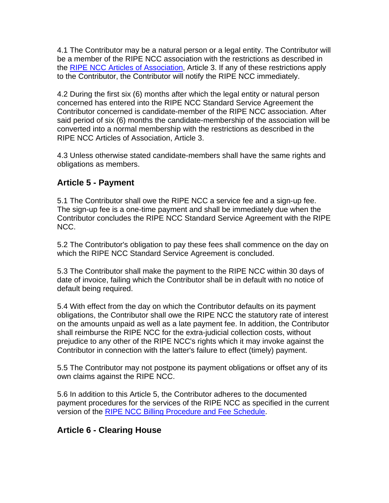4.1 The Contributor may be a natural person or a legal entity. The Contributor will be a member of the RIPE NCC association with the restrictions as described in the [RIPE NCC Articles of Association](http://www.ripe.net/ripe/docs/articles-association.html), Article 3. If any of these restrictions apply to the Contributor, the Contributor will notify the RIPE NCC immediately.

4.2 During the first six (6) months after which the legal entity or natural person concerned has entered into the RIPE NCC Standard Service Agreement the Contributor concerned is candidate-member of the RIPE NCC association. After said period of six (6) months the candidate-membership of the association will be converted into a normal membership with the restrictions as described in the RIPE NCC Articles of Association, Article 3.

4.3 Unless otherwise stated candidate-members shall have the same rights and obligations as members.

# **Article 5 - Payment**

5.1 The Contributor shall owe the RIPE NCC a service fee and a sign-up fee. The sign-up fee is a one-time payment and shall be immediately due when the Contributor concludes the RIPE NCC Standard Service Agreement with the RIPE NCC.

5.2 The Contributor's obligation to pay these fees shall commence on the day on which the RIPE NCC Standard Service Agreement is concluded.

5.3 The Contributor shall make the payment to the RIPE NCC within 30 days of date of invoice, failing which the Contributor shall be in default with no notice of default being required.

5.4 With effect from the day on which the Contributor defaults on its payment obligations, the Contributor shall owe the RIPE NCC the statutory rate of interest on the amounts unpaid as well as a late payment fee. In addition, the Contributor shall reimburse the RIPE NCC for the extra-judicial collection costs, without prejudice to any other of the RIPE NCC's rights which it may invoke against the Contributor in connection with the latter's failure to effect (timely) payment.

5.5 The Contributor may not postpone its payment obligations or offset any of its own claims against the RIPE NCC.

5.6 In addition to this Article 5, the Contributor adheres to the documented payment procedures for the services of the RIPE NCC as specified in the current version of the [RIPE NCC Billing Procedure and Fee Schedule](http://www.ripe.net/membership/billing/procedure.html).

# **Article 6 - Clearing House**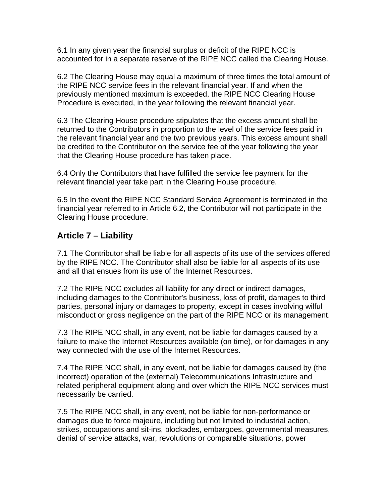6.1 In any given year the financial surplus or deficit of the RIPE NCC is accounted for in a separate reserve of the RIPE NCC called the Clearing House.

6.2 The Clearing House may equal a maximum of three times the total amount of the RIPE NCC service fees in the relevant financial year. If and when the previously mentioned maximum is exceeded, the RIPE NCC Clearing House Procedure is executed, in the year following the relevant financial year.

6.3 The Clearing House procedure stipulates that the excess amount shall be returned to the Contributors in proportion to the level of the service fees paid in the relevant financial year and the two previous years. This excess amount shall be credited to the Contributor on the service fee of the year following the year that the Clearing House procedure has taken place.

6.4 Only the Contributors that have fulfilled the service fee payment for the relevant financial year take part in the Clearing House procedure.

6.5 In the event the RIPE NCC Standard Service Agreement is terminated in the financial year referred to in Article 6.2, the Contributor will not participate in the Clearing House procedure.

#### **Article 7 – Liability**

7.1 The Contributor shall be liable for all aspects of its use of the services offered by the RIPE NCC. The Contributor shall also be liable for all aspects of its use and all that ensues from its use of the Internet Resources.

7.2 The RIPE NCC excludes all liability for any direct or indirect damages, including damages to the Contributor's business, loss of profit, damages to third parties, personal injury or damages to property, except in cases involving wilful misconduct or gross negligence on the part of the RIPE NCC or its management.

7.3 The RIPE NCC shall, in any event, not be liable for damages caused by a failure to make the Internet Resources available (on time), or for damages in any way connected with the use of the Internet Resources.

7.4 The RIPE NCC shall, in any event, not be liable for damages caused by (the incorrect) operation of the (external) Telecommunications Infrastructure and related peripheral equipment along and over which the RIPE NCC services must necessarily be carried.

7.5 The RIPE NCC shall, in any event, not be liable for non-performance or damages due to force majeure, including but not limited to industrial action, strikes, occupations and sit-ins, blockades, embargoes, governmental measures, denial of service attacks, war, revolutions or comparable situations, power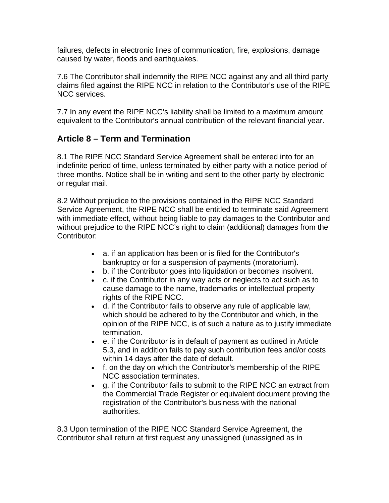failures, defects in electronic lines of communication, fire, explosions, damage caused by water, floods and earthquakes.

7.6 The Contributor shall indemnify the RIPE NCC against any and all third party claims filed against the RIPE NCC in relation to the Contributor's use of the RIPE NCC services.

7.7 In any event the RIPE NCC's liability shall be limited to a maximum amount equivalent to the Contributor's annual contribution of the relevant financial year.

# **Article 8 – Term and Termination**

8.1 The RIPE NCC Standard Service Agreement shall be entered into for an indefinite period of time, unless terminated by either party with a notice period of three months. Notice shall be in writing and sent to the other party by electronic or regular mail.

8.2 Without prejudice to the provisions contained in the RIPE NCC Standard Service Agreement, the RIPE NCC shall be entitled to terminate said Agreement with immediate effect, without being liable to pay damages to the Contributor and without prejudice to the RIPE NCC's right to claim (additional) damages from the Contributor:

- a. if an application has been or is filed for the Contributor's bankruptcy or for a suspension of payments (moratorium).
- b. if the Contributor goes into liquidation or becomes insolvent.
- c. if the Contributor in any way acts or neglects to act such as to cause damage to the name, trademarks or intellectual property rights of the RIPE NCC.
- d. if the Contributor fails to observe any rule of applicable law, which should be adhered to by the Contributor and which, in the opinion of the RIPE NCC, is of such a nature as to justify immediate termination.
- e. if the Contributor is in default of payment as outlined in Article 5.3, and in addition fails to pay such contribution fees and/or costs within 14 days after the date of default.
- f. on the day on which the Contributor's membership of the RIPE NCC association terminates.
- g. if the Contributor fails to submit to the RIPE NCC an extract from the Commercial Trade Register or equivalent document proving the registration of the Contributor's business with the national authorities.

8.3 Upon termination of the RIPE NCC Standard Service Agreement, the Contributor shall return at first request any unassigned (unassigned as in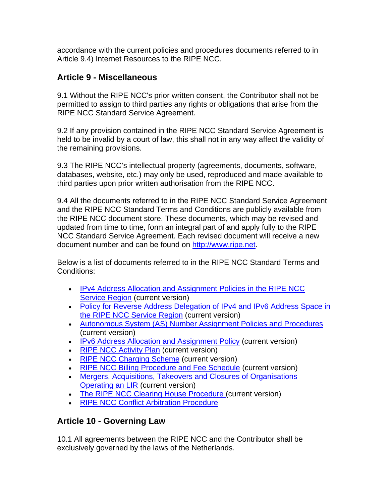accordance with the current policies and procedures documents referred to in Article 9.4) Internet Resources to the RIPE NCC.

#### **Article 9 - Miscellaneous**

9.1 Without the RIPE NCC's prior written consent, the Contributor shall not be permitted to assign to third parties any rights or obligations that arise from the RIPE NCC Standard Service Agreement.

9.2 If any provision contained in the RIPE NCC Standard Service Agreement is held to be invalid by a court of law, this shall not in any way affect the validity of the remaining provisions.

9.3 The RIPE NCC's intellectual property (agreements, documents, software, databases, website, etc.) may only be used, reproduced and made available to third parties upon prior written authorisation from the RIPE NCC.

9.4 All the documents referred to in the RIPE NCC Standard Service Agreement and the RIPE NCC Standard Terms and Conditions are publicly available from the RIPE NCC document store. These documents, which may be revised and updated from time to time, form an integral part of and apply fully to the RIPE NCC Standard Service Agreement. Each revised document will receive a new document number and can be found on [http://www.ripe.net](http://www.ripe.net/index.html).

Below is a list of documents referred to in the RIPE NCC Standard Terms and Conditions:

- [IPv4 Address Allocation and Assignment Policies in the RIPE NCC](http://www.ripe.net/ripe/docs/ipv4-policies.html)  [Service Region](http://www.ripe.net/ripe/docs/ipv4-policies.html) (current version)
- Policy for Reverse Address Delegation of IPv4 and IPv6 Address Space in [the RIPE NCC Service Region](http://www.ripe.net/ripe/docs/rev-del.html) (current version)
- [Autonomous System \(AS\) Number Assignment Policies and Procedures](http://www.ripe.net/ripe/docs/asn-assignment.html) (current version)
- [IPv6 Address Allocation and Assignment Policy](http://www.ripe.net/ripe/docs/ipv6policy.html) (current version)
- [RIPE NCC Activity Plan](http://www.ripe.net/ripe/docs/ap.html) (current version)
- [RIPE NCC Charging Scheme](http://www.ripe.net/ripe/docs/charging.html) (current version)
- [RIPE NCC Billing Procedure and Fee Schedule](http://www.ripe.net/membership/billing/procedure.html) (current version)
- [Mergers, Acquisitions, Takeovers and Closures of Organisations](http://www.ripe.net/ripe/docs/mergers.html)  [Operating an LIR](http://www.ripe.net/ripe/docs/mergers.html) (current version)
- [The RIPE NCC Clearing House Procedure](http://www.ripe.net/ripe/docs/clearinghouse.html) (current version)
- [RIPE NCC Conflict Arbitration Procedure](http://www.ripe.net/ripe/docs/ripe-174.html)

# **Article 10 - Governing Law**

10.1 All agreements between the RIPE NCC and the Contributor shall be exclusively governed by the laws of the Netherlands.